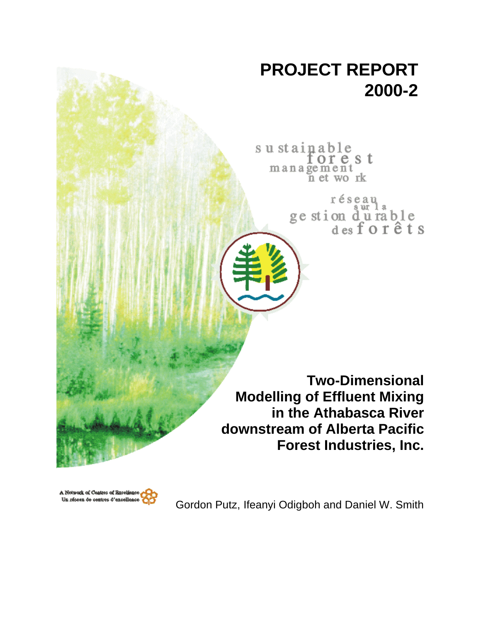# **PROJECT REPORT 2000-2**

sustainable orest management n et work

> réseau ge stion durable<br>desforêts

**Two-Dimensional Modelling of Effluent Mixing in the Athabasca River downstream of Alberta Pacific Forest Industries, Inc.**



Gordon Putz, Ifeanyi Odigboh and Daniel W. Smith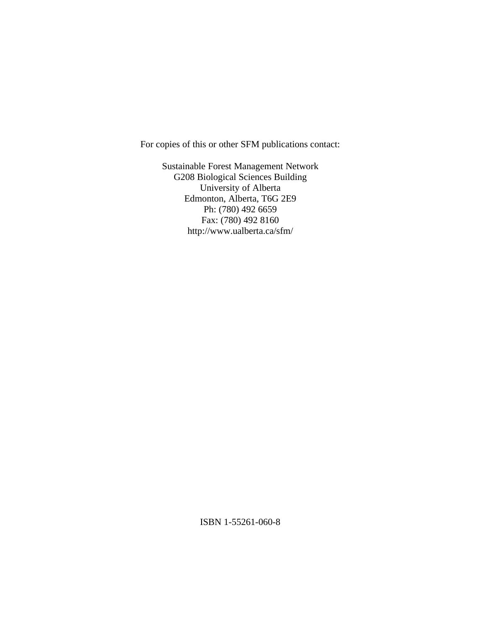For copies of this or other SFM publications contact:

Sustainable Forest Management Network G208 Biological Sciences Building University of Alberta Edmonton, Alberta, T6G 2E9 Ph: (780) 492 6659 Fax: (780) 492 8160 http://www.ualberta.ca/sfm/

ISBN 1-55261-060-8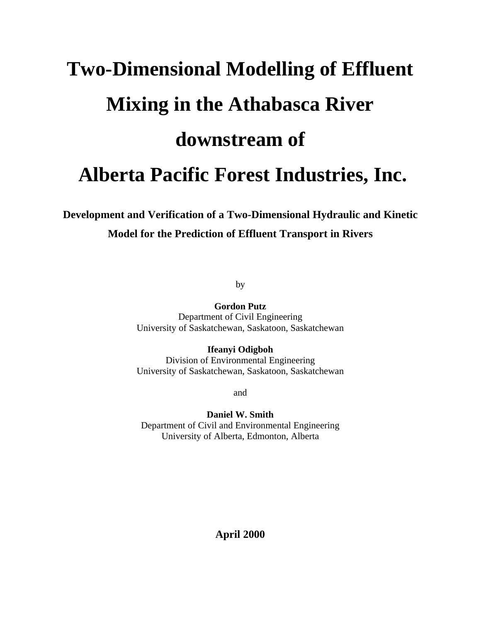# **Two-Dimensional Modelling of Effluent Mixing in the Athabasca River downstream of Alberta Pacific Forest Industries, Inc.**

# **Development and Verification of a Two-Dimensional Hydraulic and Kinetic Model for the Prediction of Effluent Transport in Rivers**

by

**Gordon Putz** Department of Civil Engineering University of Saskatchewan, Saskatoon, Saskatchewan

**Ifeanyi Odigboh** Division of Environmental Engineering University of Saskatchewan, Saskatoon, Saskatchewan

and

**Daniel W. Smith** Department of Civil and Environmental Engineering University of Alberta, Edmonton, Alberta

**April 2000**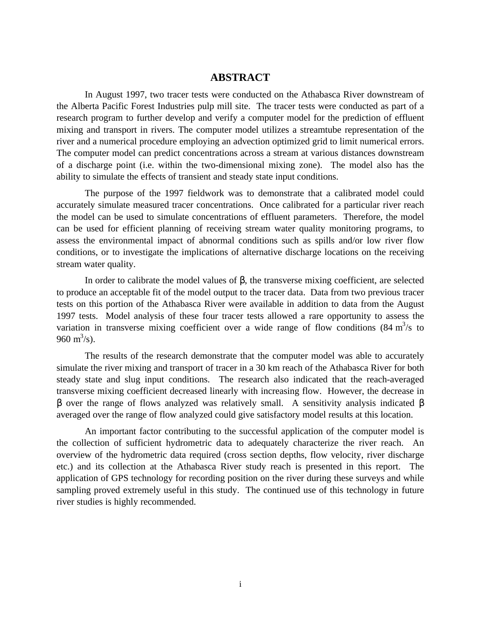#### **ABSTRACT**

In August 1997, two tracer tests were conducted on the Athabasca River downstream of the Alberta Pacific Forest Industries pulp mill site. The tracer tests were conducted as part of a research program to further develop and verify a computer model for the prediction of effluent mixing and transport in rivers. The computer model utilizes a streamtube representation of the river and a numerical procedure employing an advection optimized grid to limit numerical errors. The computer model can predict concentrations across a stream at various distances downstream of a discharge point (i.e. within the two-dimensional mixing zone). The model also has the ability to simulate the effects of transient and steady state input conditions.

The purpose of the 1997 fieldwork was to demonstrate that a calibrated model could accurately simulate measured tracer concentrations. Once calibrated for a particular river reach the model can be used to simulate concentrations of effluent parameters. Therefore, the model can be used for efficient planning of receiving stream water quality monitoring programs, to assess the environmental impact of abnormal conditions such as spills and/or low river flow conditions, or to investigate the implications of alternative discharge locations on the receiving stream water quality.

In order to calibrate the model values of β, the transverse mixing coefficient, are selected to produce an acceptable fit of the model output to the tracer data. Data from two previous tracer tests on this portion of the Athabasca River were available in addition to data from the August 1997 tests. Model analysis of these four tracer tests allowed a rare opportunity to assess the variation in transverse mixing coefficient over a wide range of flow conditions  $(84 \text{ m}^3/\text{s})$  to 960 m<sup>3</sup>/s).

The results of the research demonstrate that the computer model was able to accurately simulate the river mixing and transport of tracer in a 30 km reach of the Athabasca River for both steady state and slug input conditions. The research also indicated that the reach-averaged transverse mixing coefficient decreased linearly with increasing flow. However, the decrease in β over the range of flows analyzed was relatively small. A sensitivity analysis indicated β averaged over the range of flow analyzed could give satisfactory model results at this location.

An important factor contributing to the successful application of the computer model is the collection of sufficient hydrometric data to adequately characterize the river reach. An overview of the hydrometric data required (cross section depths, flow velocity, river discharge etc.) and its collection at the Athabasca River study reach is presented in this report. The application of GPS technology for recording position on the river during these surveys and while sampling proved extremely useful in this study. The continued use of this technology in future river studies is highly recommended.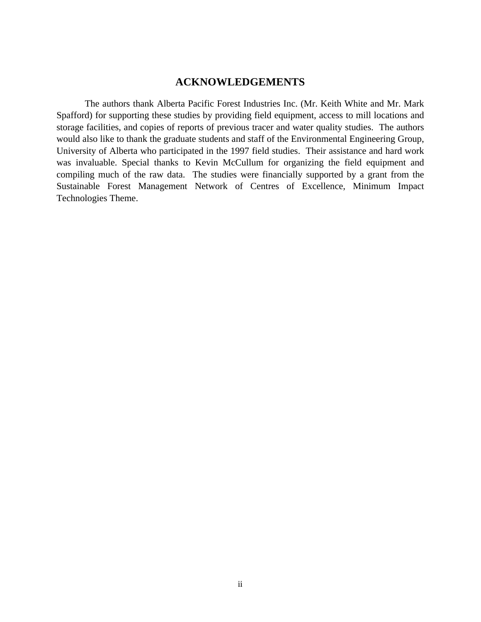#### **ACKNOWLEDGEMENTS**

The authors thank Alberta Pacific Forest Industries Inc. (Mr. Keith White and Mr. Mark Spafford) for supporting these studies by providing field equipment, access to mill locations and storage facilities, and copies of reports of previous tracer and water quality studies. The authors would also like to thank the graduate students and staff of the Environmental Engineering Group, University of Alberta who participated in the 1997 field studies. Their assistance and hard work was invaluable. Special thanks to Kevin McCullum for organizing the field equipment and compiling much of the raw data. The studies were financially supported by a grant from the Sustainable Forest Management Network of Centres of Excellence, Minimum Impact Technologies Theme.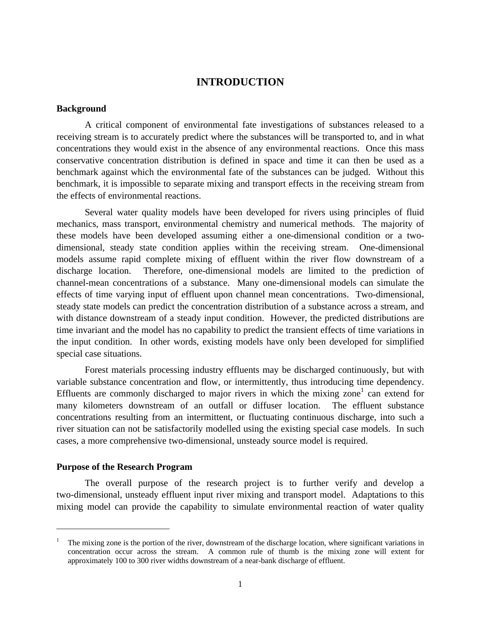#### **INTRODUCTION**

#### **Background**

A critical component of environmental fate investigations of substances released to a receiving stream is to accurately predict where the substances will be transported to, and in what concentrations they would exist in the absence of any environmental reactions. Once this mass conservative concentration distribution is defined in space and time it can then be used as a benchmark against which the environmental fate of the substances can be judged. Without this benchmark, it is impossible to separate mixing and transport effects in the receiving stream from the effects of environmental reactions.

Several water quality models have been developed for rivers using principles of fluid mechanics, mass transport, environmental chemistry and numerical methods. The majority of these models have been developed assuming either a one-dimensional condition or a twodimensional, steady state condition applies within the receiving stream. One-dimensional models assume rapid complete mixing of effluent within the river flow downstream of a discharge location. Therefore, one-dimensional models are limited to the prediction of channel-mean concentrations of a substance. Many one-dimensional models can simulate the effects of time varying input of effluent upon channel mean concentrations. Two-dimensional, steady state models can predict the concentration distribution of a substance across a stream, and with distance downstream of a steady input condition. However, the predicted distributions are time invariant and the model has no capability to predict the transient effects of time variations in the input condition. In other words, existing models have only been developed for simplified special case situations.

Forest materials processing industry effluents may be discharged continuously, but with variable substance concentration and flow, or intermittently, thus introducing time dependency. Effluents are commonly discharged to major rivers in which the mixing zone<sup>1</sup> can extend for many kilometers downstream of an outfall or diffuser location. The effluent substance concentrations resulting from an intermittent, or fluctuating continuous discharge, into such a river situation can not be satisfactorily modelled using the existing special case models. In such cases, a more comprehensive two-dimensional, unsteady source model is required.

#### **Purpose of the Research Program**

-

The overall purpose of the research project is to further verify and develop a two-dimensional, unsteady effluent input river mixing and transport model. Adaptations to this mixing model can provide the capability to simulate environmental reaction of water quality

<sup>1</sup> The mixing zone is the portion of the river, downstream of the discharge location, where significant variations in concentration occur across the stream. A common rule of thumb is the mixing zone will extent for approximately 100 to 300 river widths downstream of a near-bank discharge of effluent.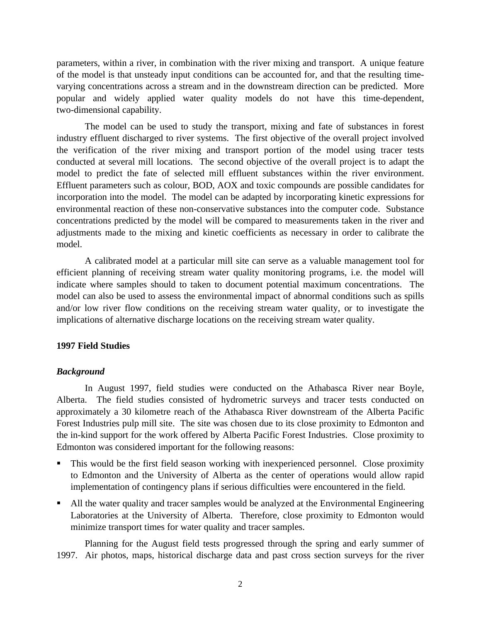parameters, within a river, in combination with the river mixing and transport. A unique feature of the model is that unsteady input conditions can be accounted for, and that the resulting timevarying concentrations across a stream and in the downstream direction can be predicted. More popular and widely applied water quality models do not have this time-dependent, two-dimensional capability.

The model can be used to study the transport, mixing and fate of substances in forest industry effluent discharged to river systems. The first objective of the overall project involved the verification of the river mixing and transport portion of the model using tracer tests conducted at several mill locations. The second objective of the overall project is to adapt the model to predict the fate of selected mill effluent substances within the river environment. Effluent parameters such as colour, BOD, AOX and toxic compounds are possible candidates for incorporation into the model. The model can be adapted by incorporating kinetic expressions for environmental reaction of these non-conservative substances into the computer code. Substance concentrations predicted by the model will be compared to measurements taken in the river and adjustments made to the mixing and kinetic coefficients as necessary in order to calibrate the model.

A calibrated model at a particular mill site can serve as a valuable management tool for efficient planning of receiving stream water quality monitoring programs, i.e. the model will indicate where samples should to taken to document potential maximum concentrations. The model can also be used to assess the environmental impact of abnormal conditions such as spills and/or low river flow conditions on the receiving stream water quality, or to investigate the implications of alternative discharge locations on the receiving stream water quality.

#### **1997 Field Studies**

#### *Background*

In August 1997, field studies were conducted on the Athabasca River near Boyle, Alberta. The field studies consisted of hydrometric surveys and tracer tests conducted on approximately a 30 kilometre reach of the Athabasca River downstream of the Alberta Pacific Forest Industries pulp mill site. The site was chosen due to its close proximity to Edmonton and the in-kind support for the work offered by Alberta Pacific Forest Industries. Close proximity to Edmonton was considered important for the following reasons:

- ß This would be the first field season working with inexperienced personnel. Close proximity to Edmonton and the University of Alberta as the center of operations would allow rapid implementation of contingency plans if serious difficulties were encountered in the field.
- ß All the water quality and tracer samples would be analyzed at the Environmental Engineering Laboratories at the University of Alberta. Therefore, close proximity to Edmonton would minimize transport times for water quality and tracer samples.

Planning for the August field tests progressed through the spring and early summer of 1997. Air photos, maps, historical discharge data and past cross section surveys for the river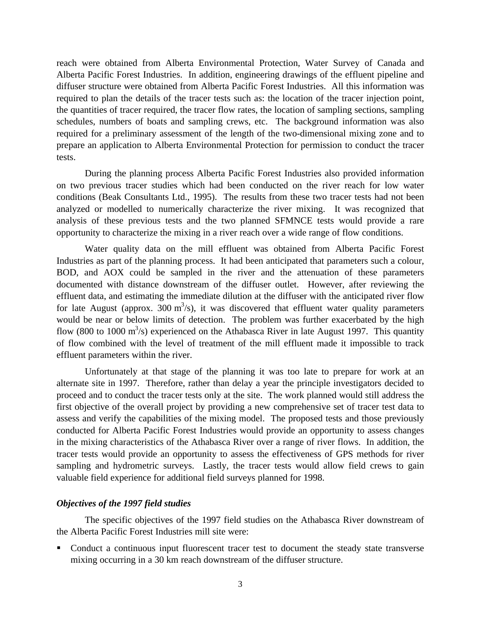reach were obtained from Alberta Environmental Protection, Water Survey of Canada and Alberta Pacific Forest Industries. In addition, engineering drawings of the effluent pipeline and diffuser structure were obtained from Alberta Pacific Forest Industries. All this information was required to plan the details of the tracer tests such as: the location of the tracer injection point, the quantities of tracer required, the tracer flow rates, the location of sampling sections, sampling schedules, numbers of boats and sampling crews, etc. The background information was also required for a preliminary assessment of the length of the two-dimensional mixing zone and to prepare an application to Alberta Environmental Protection for permission to conduct the tracer tests.

During the planning process Alberta Pacific Forest Industries also provided information on two previous tracer studies which had been conducted on the river reach for low water conditions (Beak Consultants Ltd., 1995). The results from these two tracer tests had not been analyzed or modelled to numerically characterize the river mixing. It was recognized that analysis of these previous tests and the two planned SFMNCE tests would provide a rare opportunity to characterize the mixing in a river reach over a wide range of flow conditions.

Water quality data on the mill effluent was obtained from Alberta Pacific Forest Industries as part of the planning process. It had been anticipated that parameters such a colour, BOD, and AOX could be sampled in the river and the attenuation of these parameters documented with distance downstream of the diffuser outlet. However, after reviewing the effluent data, and estimating the immediate dilution at the diffuser with the anticipated river flow for late August (approx. 300  $m^3/s$ ), it was discovered that effluent water quality parameters would be near or below limits of detection. The problem was further exacerbated by the high flow (800 to 1000  $\text{m}^3$ /s) experienced on the Athabasca River in late August 1997. This quantity of flow combined with the level of treatment of the mill effluent made it impossible to track effluent parameters within the river.

Unfortunately at that stage of the planning it was too late to prepare for work at an alternate site in 1997. Therefore, rather than delay a year the principle investigators decided to proceed and to conduct the tracer tests only at the site. The work planned would still address the first objective of the overall project by providing a new comprehensive set of tracer test data to assess and verify the capabilities of the mixing model. The proposed tests and those previously conducted for Alberta Pacific Forest Industries would provide an opportunity to assess changes in the mixing characteristics of the Athabasca River over a range of river flows. In addition, the tracer tests would provide an opportunity to assess the effectiveness of GPS methods for river sampling and hydrometric surveys. Lastly, the tracer tests would allow field crews to gain valuable field experience for additional field surveys planned for 1998.

#### *Objectives of the 1997 field studies*

The specific objectives of the 1997 field studies on the Athabasca River downstream of the Alberta Pacific Forest Industries mill site were:

• Conduct a continuous input fluorescent tracer test to document the steady state transverse mixing occurring in a 30 km reach downstream of the diffuser structure.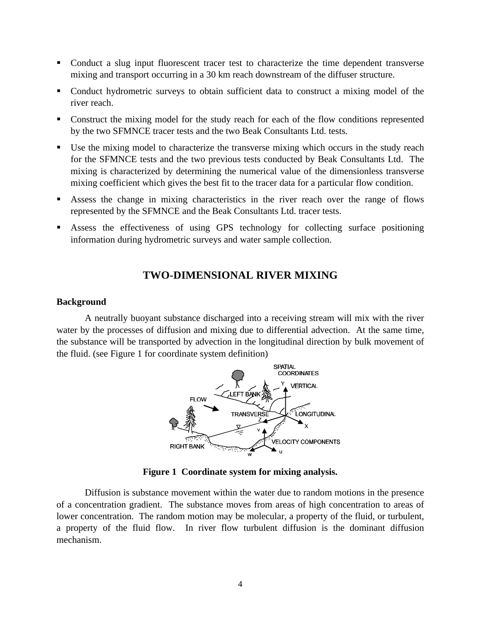- Conduct a slug input fluorescent tracer test to characterize the time dependent transverse mixing and transport occurring in a 30 km reach downstream of the diffuser structure.
- Conduct hydrometric surveys to obtain sufficient data to construct a mixing model of the river reach.
- Construct the mixing model for the study reach for each of the flow conditions represented by the two SFMNCE tracer tests and the two Beak Consultants Ltd. tests.
- ß Use the mixing model to characterize the transverse mixing which occurs in the study reach for the SFMNCE tests and the two previous tests conducted by Beak Consultants Ltd. The mixing is characterized by determining the numerical value of the dimensionless transverse mixing coefficient which gives the best fit to the tracer data for a particular flow condition.
- ß Assess the change in mixing characteristics in the river reach over the range of flows represented by the SFMNCE and the Beak Consultants Ltd. tracer tests.
- ß Assess the effectiveness of using GPS technology for collecting surface positioning information during hydrometric surveys and water sample collection.

# **TWO-DIMENSIONAL RIVER MIXING**

#### **Background**

A neutrally buoyant substance discharged into a receiving stream will mix with the river water by the processes of diffusion and mixing due to differential advection. At the same time, the substance will be transported by advection in the longitudinal direction by bulk movement of the fluid. (see Figure 1 for coordinate system definition)



**Figure 1 Coordinate system for mixing analysis.**

Diffusion is substance movement within the water due to random motions in the presence of a concentration gradient. The substance moves from areas of high concentration to areas of lower concentration. The random motion may be molecular, a property of the fluid, or turbulent, a property of the fluid flow. In river flow turbulent diffusion is the dominant diffusion mechanism.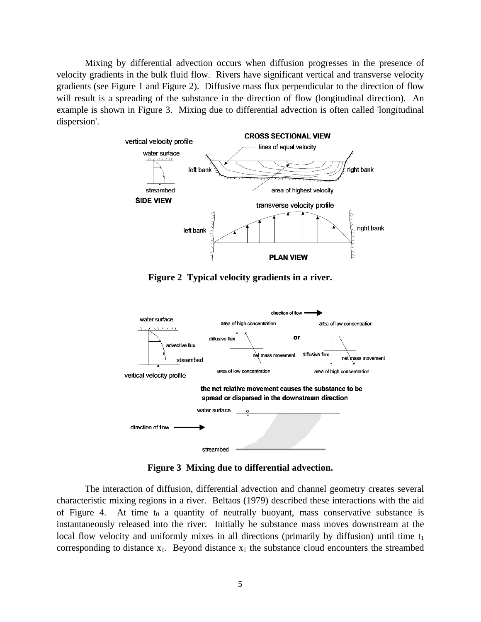Mixing by differential advection occurs when diffusion progresses in the presence of velocity gradients in the bulk fluid flow. Rivers have significant vertical and transverse velocity gradients (see Figure 1 and Figure 2). Diffusive mass flux perpendicular to the direction of flow will result is a spreading of the substance in the direction of flow (longitudinal direction). An example is shown in Figure 3. Mixing due to differential advection is often called 'longitudinal dispersion'.



**Figure 2 Typical velocity gradients in a river.**



**Figure 3 Mixing due to differential advection.**

The interaction of diffusion, differential advection and channel geometry creates several characteristic mixing regions in a river. Beltaos (1979) described these interactions with the aid of Figure 4. At time  $t_0$  a quantity of neutrally buoyant, mass conservative substance is instantaneously released into the river. Initially he substance mass moves downstream at the local flow velocity and uniformly mixes in all directions (primarily by diffusion) until time  $t_1$ corresponding to distance  $x_1$ . Beyond distance  $x_1$  the substance cloud encounters the streambed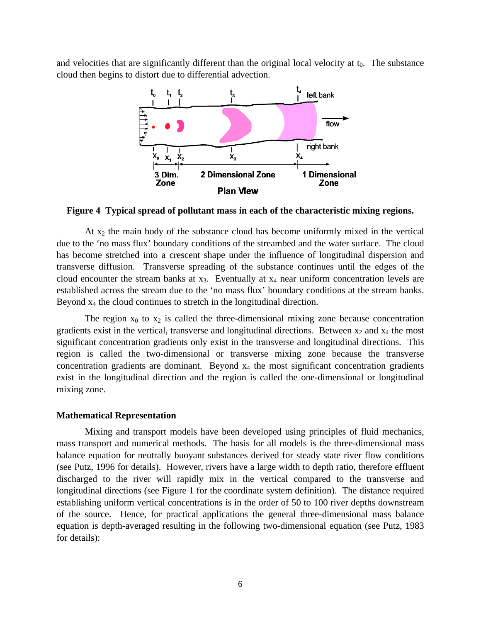and velocities that are significantly different than the original local velocity at  $t_0$ . The substance cloud then begins to distort due to differential advection.



**Figure 4 Typical spread of pollutant mass in each of the characteristic mixing regions.**

At  $x_2$  the main body of the substance cloud has become uniformly mixed in the vertical due to the 'no mass flux' boundary conditions of the streambed and the water surface. The cloud has become stretched into a crescent shape under the influence of longitudinal dispersion and transverse diffusion. Transverse spreading of the substance continues until the edges of the cloud encounter the stream banks at  $x_3$ . Eventually at  $x_4$  near uniform concentration levels are established across the stream due to the 'no mass flux' boundary conditions at the stream banks. Beyond x4 the cloud continues to stretch in the longitudinal direction.

The region  $x_0$  to  $x_2$  is called the three-dimensional mixing zone because concentration gradients exist in the vertical, transverse and longitudinal directions. Between  $x_2$  and  $x_4$  the most significant concentration gradients only exist in the transverse and longitudinal directions. This region is called the two-dimensional or transverse mixing zone because the transverse concentration gradients are dominant. Beyond  $x_4$  the most significant concentration gradients exist in the longitudinal direction and the region is called the one-dimensional or longitudinal mixing zone.

#### **Mathematical Representation**

Mixing and transport models have been developed using principles of fluid mechanics, mass transport and numerical methods. The basis for all models is the three-dimensional mass balance equation for neutrally buoyant substances derived for steady state river flow conditions (see Putz, 1996 for details). However, rivers have a large width to depth ratio, therefore effluent discharged to the river will rapidly mix in the vertical compared to the transverse and longitudinal directions (see Figure 1 for the coordinate system definition). The distance required establishing uniform vertical concentrations is in the order of 50 to 100 river depths downstream of the source. Hence, for practical applications the general three-dimensional mass balance equation is depth-averaged resulting in the following two-dimensional equation (see Putz, 1983 for details):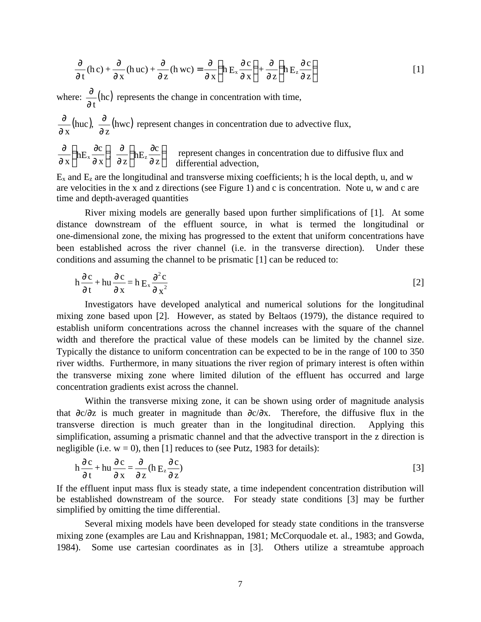$$
\frac{\partial}{\partial t}(\mathbf{h}\,\mathbf{c}) + \frac{\partial}{\partial x}(\mathbf{h}\,\mathbf{u}\mathbf{c}) + \frac{\partial}{\partial z}(\mathbf{h}\,\mathbf{w}\mathbf{c}) = \frac{\partial}{\partial x}\left(\mathbf{h}\,\mathbf{E}_{x}\frac{\partial\mathbf{c}}{\partial x}\right) + \frac{\partial}{\partial z}\left(\mathbf{h}\,\mathbf{E}_{z}\frac{\partial\mathbf{c}}{\partial z}\right)
$$
 [1]

where:  $\frac{0}{2}$ (hc) ∂ t  $\frac{\partial}{\partial x}$ (hc) represents the change in concentration with time,

$$
\frac{\partial}{\partial x}(\text{huc}), \frac{\partial}{\partial z}(\text{hwc}) \text{ represent changes in concentration due to advective flux,}
$$
\n
$$
\frac{\partial}{\partial x} \left( hE_x \frac{\partial c}{\partial x} \right) \frac{\partial}{\partial z} \left( hE_z \frac{\partial c}{\partial z} \right)
$$
\n
$$
\text{represent changes in concentration due to diffusive flux and differential advection,}
$$

 $E_x$  and  $E_z$  are the longitudinal and transverse mixing coefficients; h is the local depth, u, and w are velocities in the x and z directions (see Figure 1) and c is concentration. Note u, w and c are time and depth-averaged quantities

River mixing models are generally based upon further simplifications of [1]. At some distance downstream of the effluent source, in what is termed the longitudinal or one-dimensional zone, the mixing has progressed to the extent that uniform concentrations have been established across the river channel (i.e. in the transverse direction). Under these conditions and assuming the channel to be prismatic [1] can be reduced to:

$$
h\frac{\partial c}{\partial t} + hu\frac{\partial c}{\partial x} = h E_x \frac{\partial^2 c}{\partial x^2}
$$
 [2]

Investigators have developed analytical and numerical solutions for the longitudinal mixing zone based upon [2]. However, as stated by Beltaos (1979), the distance required to establish uniform concentrations across the channel increases with the square of the channel width and therefore the practical value of these models can be limited by the channel size. Typically the distance to uniform concentration can be expected to be in the range of 100 to 350 river widths. Furthermore, in many situations the river region of primary interest is often within the transverse mixing zone where limited dilution of the effluent has occurred and large concentration gradients exist across the channel.

Within the transverse mixing zone, it can be shown using order of magnitude analysis that ∂c/∂z is much greater in magnitude than ∂c/∂x. Therefore, the diffusive flux in the transverse direction is much greater than in the longitudinal direction. Applying this simplification, assuming a prismatic channel and that the advective transport in the z direction is negligible (i.e.  $w = 0$ ), then [1] reduces to (see Putz, 1983 for details):

$$
h\frac{\partial c}{\partial t} + hu\frac{\partial c}{\partial x} = \frac{\partial}{\partial z}(h E_z \frac{\partial c}{\partial z})
$$
 [3]

If the effluent input mass flux is steady state, a time independent concentration distribution will be established downstream of the source. For steady state conditions [3] may be further simplified by omitting the time differential.

Several mixing models have been developed for steady state conditions in the transverse mixing zone (examples are Lau and Krishnappan, 1981; McCorquodale et. al., 1983; and Gowda, 1984). Some use cartesian coordinates as in [3]. Others utilize a streamtube approach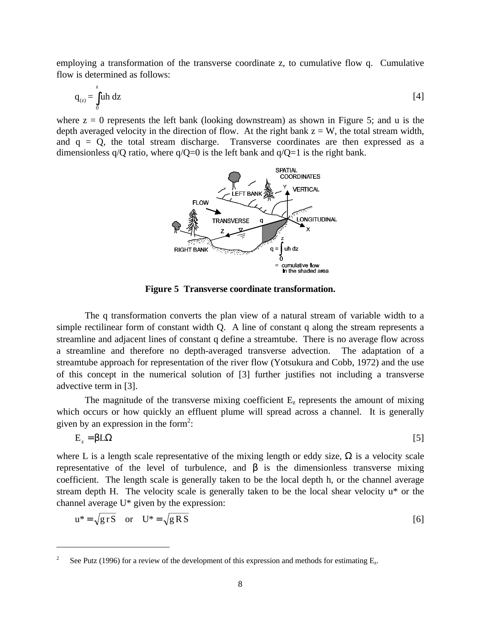employing a transformation of the transverse coordinate z, to cumulative flow q. Cumulative flow is determined as follows:

$$
q_{(z)} = \int_{0}^{z} uh \ dz
$$
 [4]

where  $z = 0$  represents the left bank (looking downstream) as shown in Figure 5; and u is the depth averaged velocity in the direction of flow. At the right bank  $z = W$ , the total stream width, and  $q = Q$ , the total stream discharge. Transverse coordinates are then expressed as a dimensionless  $q/O$  ratio, where  $q/O=0$  is the left bank and  $q/O=1$  is the right bank.



**Figure 5 Transverse coordinate transformation.**

The q transformation converts the plan view of a natural stream of variable width to a simple rectilinear form of constant width Q. A line of constant q along the stream represents a streamline and adjacent lines of constant q define a streamtube. There is no average flow across a streamline and therefore no depth-averaged transverse advection. The adaptation of a streamtube approach for representation of the river flow (Yotsukura and Cobb, 1972) and the use of this concept in the numerical solution of [3] further justifies not including a transverse advective term in [3].

The magnitude of the transverse mixing coefficient  $E<sub>z</sub>$  represents the amount of mixing which occurs or how quickly an effluent plume will spread across a channel. It is generally given by an expression in the form<sup>2</sup>:

$$
E_z = \beta L \Omega
$$

where L is a length scale representative of the mixing length or eddy size,  $\Omega$  is a velocity scale representative of the level of turbulence, and β is the dimensionless transverse mixing coefficient. The length scale is generally taken to be the local depth h, or the channel average stream depth H. The velocity scale is generally taken to be the local shear velocity u\* or the channel average U\* given by the expression:

$$
u^* = \sqrt{grS} \quad \text{or} \quad U^* = \sqrt{gRS}
$$

 $\overline{a}$ 

<sup>2</sup> See Putz (1996) for a review of the development of this expression and methods for estimating  $E_z$ .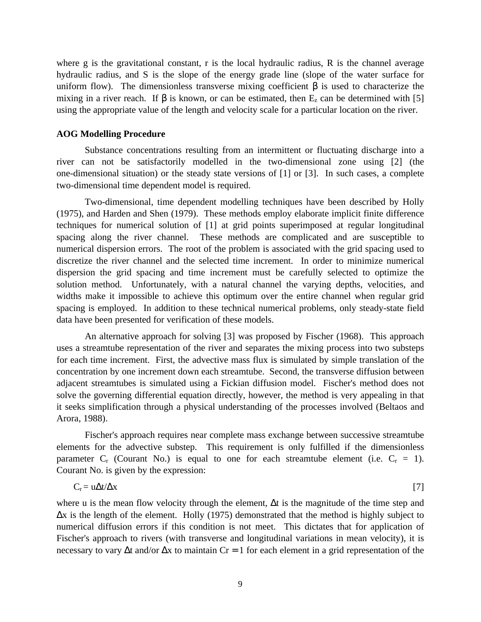where g is the gravitational constant, r is the local hydraulic radius, R is the channel average hydraulic radius, and S is the slope of the energy grade line (slope of the water surface for uniform flow). The dimensionless transverse mixing coefficient  $\beta$  is used to characterize the mixing in a river reach. If  $\beta$  is known, or can be estimated, then  $E_z$  can be determined with [5] using the appropriate value of the length and velocity scale for a particular location on the river.

#### **AOG Modelling Procedure**

Substance concentrations resulting from an intermittent or fluctuating discharge into a river can not be satisfactorily modelled in the two-dimensional zone using [2] (the one-dimensional situation) or the steady state versions of [1] or [3]. In such cases, a complete two-dimensional time dependent model is required.

Two-dimensional, time dependent modelling techniques have been described by Holly (1975), and Harden and Shen (1979). These methods employ elaborate implicit finite difference techniques for numerical solution of [1] at grid points superimposed at regular longitudinal spacing along the river channel. These methods are complicated and are susceptible to numerical dispersion errors. The root of the problem is associated with the grid spacing used to discretize the river channel and the selected time increment. In order to minimize numerical dispersion the grid spacing and time increment must be carefully selected to optimize the solution method. Unfortunately, with a natural channel the varying depths, velocities, and widths make it impossible to achieve this optimum over the entire channel when regular grid spacing is employed. In addition to these technical numerical problems, only steady-state field data have been presented for verification of these models.

An alternative approach for solving [3] was proposed by Fischer (1968). This approach uses a streamtube representation of the river and separates the mixing process into two substeps for each time increment. First, the advective mass flux is simulated by simple translation of the concentration by one increment down each streamtube. Second, the transverse diffusion between adjacent streamtubes is simulated using a Fickian diffusion model. Fischer's method does not solve the governing differential equation directly, however, the method is very appealing in that it seeks simplification through a physical understanding of the processes involved (Beltaos and Arora, 1988).

Fischer's approach requires near complete mass exchange between successive streamtube elements for the advective substep. This requirement is only fulfilled if the dimensionless parameter  $C_r$  (Courant No.) is equal to one for each streamtube element (i.e.  $C_r = 1$ ). Courant No. is given by the expression:

$$
C_r = u\Delta t / \Delta x \tag{7}
$$

where u is the mean flow velocity through the element, Δt is the magnitude of the time step and Δx is the length of the element. Holly (1975) demonstrated that the method is highly subject to numerical diffusion errors if this condition is not meet. This dictates that for application of Fischer's approach to rivers (with transverse and longitudinal variations in mean velocity), it is necessary to vary  $\Delta t$  and/or  $\Delta x$  to maintain Cr = 1 for each element in a grid representation of the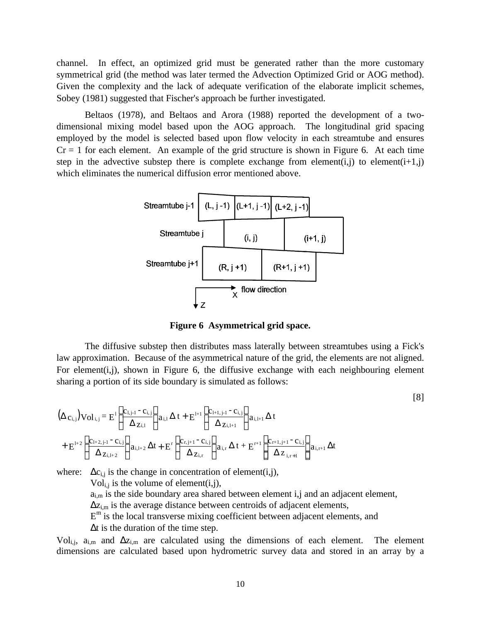channel. In effect, an optimized grid must be generated rather than the more customary symmetrical grid (the method was later termed the Advection Optimized Grid or AOG method). Given the complexity and the lack of adequate verification of the elaborate implicit schemes, Sobey (1981) suggested that Fischer's approach be further investigated.

Beltaos (1978), and Beltaos and Arora (1988) reported the development of a twodimensional mixing model based upon the AOG approach. The longitudinal grid spacing employed by the model is selected based upon flow velocity in each streamtube and ensures  $Cr = 1$  for each element. An example of the grid structure is shown in Figure 6. At each time step in the advective substep there is complete exchange from element(i,j) to element(i+1,j) which eliminates the numerical diffusion error mentioned above.



**Figure 6 Asymmetrical grid space.**

The diffusive substep then distributes mass laterally between streamtubes using a Fick's law approximation. Because of the asymmetrical nature of the grid, the elements are not aligned. For element(i,j), shown in Figure 6, the diffusive exchange with each neighbouring element sharing a portion of its side boundary is simulated as follows:

$$
(\Delta c_{i,j}) Vol_{i,j} = E^{1} \left[ \frac{c_{1,j-1} - c_{i,j}}{\Delta z_{i,1}} \right] a_{i,1} \Delta t + E^{1+1} \left[ \frac{c_{1+1,j-1} - c_{i,j}}{\Delta z_{1,1+1}} \right] a_{i,1+1} \Delta t
$$
  
+ 
$$
E^{1+2} \left[ \frac{c_{1+2,j-1} - c_{i,j}}{\Delta z_{i,1+2}} \right] a_{i,1+2} \Delta t + E^{r} \left[ \frac{c_{r,j+1} - c_{i,j}}{\Delta z_{i,r}} \right] a_{i,r} \Delta t + E^{r+1} \left[ \frac{c_{r+1,j+1} - c_{i,j}}{\Delta z_{i,r+1}} \right] a_{i,r+1} \Delta t
$$

where:  $\Delta c_{i,j}$  is the change in concentration of element(i,j),  $Vol_{i,j}$  is the volume of element(i,j),  $a_{i,m}$  is the side boundary area shared between element i,j and an adjacent element,  $\Delta z$ <sub>i,m</sub> is the average distance between centroids of adjacent elements,  $E<sup>m</sup>$  is the local transverse mixing coefficient between adjacent elements, and Δt is the duration of the time step.

Vol<sub>i,j</sub>, a<sub>i,m</sub> and  $\Delta z$ <sub>i,m</sub> are calculated using the dimensions of each element. The element dimensions are calculated based upon hydrometric survey data and stored in an array by a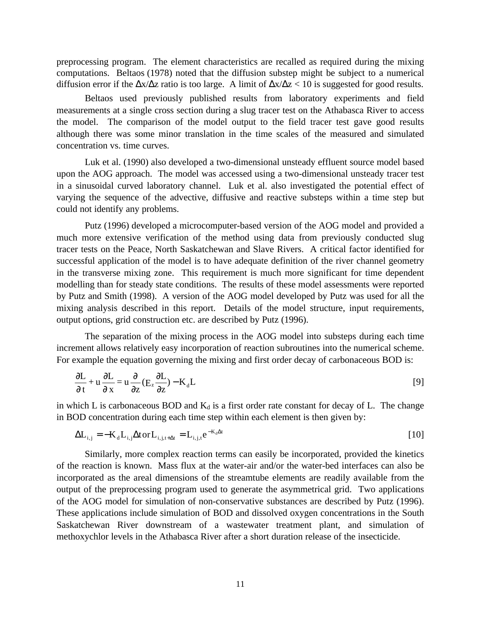preprocessing program. The element characteristics are recalled as required during the mixing computations. Beltaos (1978) noted that the diffusion substep might be subject to a numerical diffusion error if the  $\Delta x/\Delta z$  ratio is too large. A limit of  $\Delta x/\Delta z$  < 10 is suggested for good results.

Beltaos used previously published results from laboratory experiments and field measurements at a single cross section during a slug tracer test on the Athabasca River to access the model. The comparison of the model output to the field tracer test gave good results although there was some minor translation in the time scales of the measured and simulated concentration vs. time curves.

Luk et al. (1990) also developed a two-dimensional unsteady effluent source model based upon the AOG approach. The model was accessed using a two-dimensional unsteady tracer test in a sinusoidal curved laboratory channel. Luk et al. also investigated the potential effect of varying the sequence of the advective, diffusive and reactive substeps within a time step but could not identify any problems.

Putz (1996) developed a microcomputer-based version of the AOG model and provided a much more extensive verification of the method using data from previously conducted slug tracer tests on the Peace, North Saskatchewan and Slave Rivers. A critical factor identified for successful application of the model is to have adequate definition of the river channel geometry in the transverse mixing zone. This requirement is much more significant for time dependent modelling than for steady state conditions. The results of these model assessments were reported by Putz and Smith (1998). A version of the AOG model developed by Putz was used for all the mixing analysis described in this report. Details of the model structure, input requirements, output options, grid construction etc. are described by Putz (1996).

The separation of the mixing process in the AOG model into substeps during each time increment allows relatively easy incorporation of reaction subroutines into the numerical scheme. For example the equation governing the mixing and first order decay of carbonaceous BOD is:

$$
\frac{\partial L}{\partial t} + u \frac{\partial L}{\partial x} = u \frac{\partial}{\partial z} (E_z \frac{\partial L}{\partial z}) - K_d L
$$
 [9]

in which L is carbonaceous BOD and  $K_d$  is a first order rate constant for decay of L. The change in BOD concentration during each time step within each element is then given by:

$$
\Delta L_{i,j} = -K_d L_{i,j} \Delta \text{tor} L_{i,j,t+\Delta t} = L_{i,j,t} e^{-K_d \Delta t}
$$
\n<sup>(10)</sup>

Similarly, more complex reaction terms can easily be incorporated, provided the kinetics of the reaction is known. Mass flux at the water-air and/or the water-bed interfaces can also be incorporated as the areal dimensions of the streamtube elements are readily available from the output of the preprocessing program used to generate the asymmetrical grid. Two applications of the AOG model for simulation of non-conservative substances are described by Putz (1996). These applications include simulation of BOD and dissolved oxygen concentrations in the South Saskatchewan River downstream of a wastewater treatment plant, and simulation of methoxychlor levels in the Athabasca River after a short duration release of the insecticide.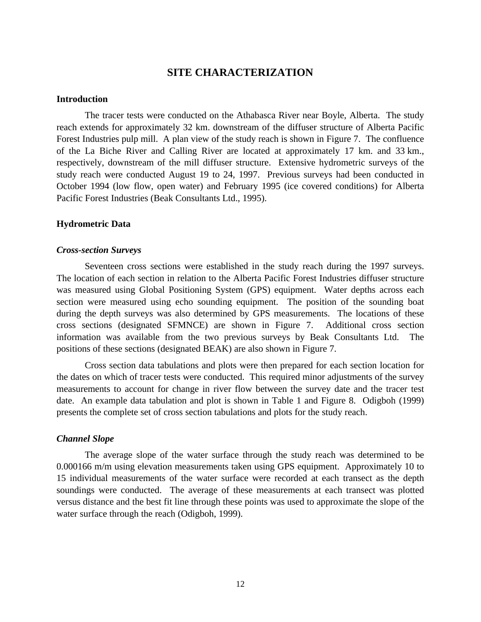## **SITE CHARACTERIZATION**

#### **Introduction**

The tracer tests were conducted on the Athabasca River near Boyle, Alberta. The study reach extends for approximately 32 km. downstream of the diffuser structure of Alberta Pacific Forest Industries pulp mill. A plan view of the study reach is shown in Figure 7. The confluence of the La Biche River and Calling River are located at approximately 17 km. and 33 km., respectively, downstream of the mill diffuser structure. Extensive hydrometric surveys of the study reach were conducted August 19 to 24, 1997. Previous surveys had been conducted in October 1994 (low flow, open water) and February 1995 (ice covered conditions) for Alberta Pacific Forest Industries (Beak Consultants Ltd., 1995).

#### **Hydrometric Data**

#### *Cross-section Surveys*

Seventeen cross sections were established in the study reach during the 1997 surveys. The location of each section in relation to the Alberta Pacific Forest Industries diffuser structure was measured using Global Positioning System (GPS) equipment. Water depths across each section were measured using echo sounding equipment. The position of the sounding boat during the depth surveys was also determined by GPS measurements. The locations of these cross sections (designated SFMNCE) are shown in Figure 7. Additional cross section information was available from the two previous surveys by Beak Consultants Ltd. The positions of these sections (designated BEAK) are also shown in Figure 7.

Cross section data tabulations and plots were then prepared for each section location for the dates on which of tracer tests were conducted. This required minor adjustments of the survey measurements to account for change in river flow between the survey date and the tracer test date. An example data tabulation and plot is shown in Table 1 and Figure 8. Odigboh (1999) presents the complete set of cross section tabulations and plots for the study reach.

#### *Channel Slope*

The average slope of the water surface through the study reach was determined to be 0.000166 m/m using elevation measurements taken using GPS equipment. Approximately 10 to 15 individual measurements of the water surface were recorded at each transect as the depth soundings were conducted. The average of these measurements at each transect was plotted versus distance and the best fit line through these points was used to approximate the slope of the water surface through the reach (Odigboh, 1999).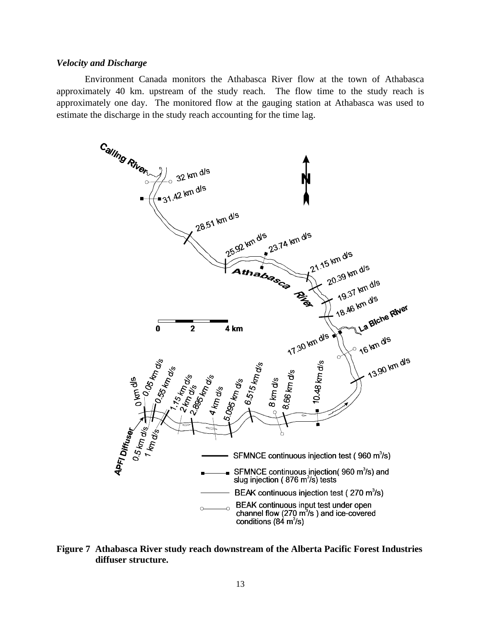#### *Velocity and Discharge*

Environment Canada monitors the Athabasca River flow at the town of Athabasca approximately 40 km. upstream of the study reach. The flow time to the study reach is approximately one day. The monitored flow at the gauging station at Athabasca was used to estimate the discharge in the study reach accounting for the time lag.



**Figure 7 Athabasca River study reach downstream of the Alberta Pacific Forest Industries diffuser structure.**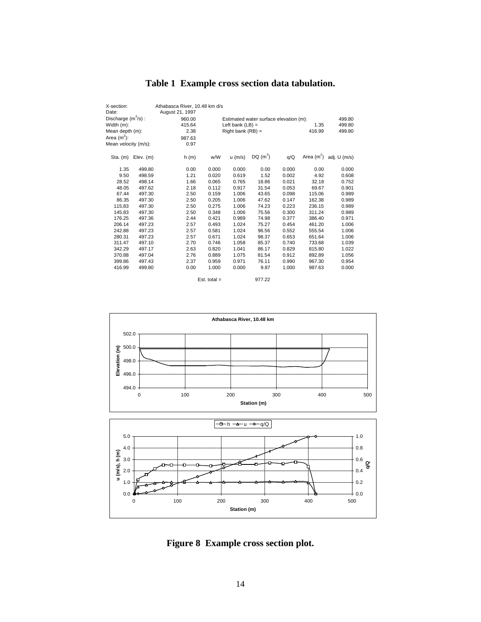| X-section:<br>Date:   |             | Athabasca River, 10.48 km d/s<br>August 21, 1997 |                                        |           |           |       |              |              |
|-----------------------|-------------|--------------------------------------------------|----------------------------------------|-----------|-----------|-------|--------------|--------------|
| Discharge $(m^3/s)$ : |             | 960.00                                           | Estimated water surface elevation (m): |           |           |       |              | 499.80       |
| Width (m):            |             | 415.64                                           | 1.35<br>Left bank $(LB) =$             |           |           |       | 499.80       |              |
| Mean depth (m):       |             | 2.38                                             | Right bank $(RB) =$<br>416.99          |           |           |       | 499.80       |              |
| Area $(m2)$ :         |             | 987.63                                           |                                        |           |           |       |              |              |
| Mean velocity (m/s):  |             | 0.97                                             |                                        |           |           |       |              |              |
|                       |             |                                                  |                                        |           |           |       |              |              |
| $Sta.$ (m)            | $Elev.$ (m) | h(m)                                             | w/W                                    | $u$ (m/s) | $DQ(m^3)$ | q/Q   | Area $(m^2)$ | adj. U (m/s) |
| 1.35                  | 499.80      | 0.00                                             | 0.000                                  | 0.000     | 0.00      | 0.000 | 0.00         | 0.000        |
| 9.50                  | 498.59      | 1.21                                             | 0.020                                  | 0.619     | 1.52      | 0.002 | 4.92         | 0.608        |
| 28.52                 | 498.14      | 1.66                                             | 0.065                                  | 0.765     | 18.86     | 0.021 | 32.18        | 0.752        |
| 48.05                 | 497.62      | 2.18                                             | 0.112                                  | 0.917     | 31.54     | 0.053 | 69.67        | 0.901        |
| 67.44                 | 497.30      | 2.50                                             | 0.159                                  | 1.006     | 43.65     | 0.098 | 115.06       | 0.989        |
| 86.35                 | 497.30      | 2.50                                             | 0.205                                  | 1.006     | 47.62     | 0.147 | 162.38       | 0.989        |
| 115.83                | 497.30      | 2.50                                             | 0.275                                  | 1.006     | 74.23     | 0.223 | 236.15       | 0.989        |
| 145.83                | 497.30      | 2.50                                             | 0.348                                  | 1.006     | 75.56     | 0.300 | 311.24       | 0.989        |
| 176.25                | 497.36      | 2.44                                             | 0.421                                  | 0.989     | 74.98     | 0.377 | 386.40       | 0.971        |
| 206.14                | 497.23      | 2.57                                             | 0.493                                  | 1.024     | 75.27     | 0.454 | 461.20       | 1.006        |
| 242.88                | 497.23      | 2.57                                             | 0.581                                  | 1.024     | 96.56     | 0.552 | 555.54       | 1.006        |
| 280.31                | 497.23      | 2.57                                             | 0.671                                  | 1.024     | 98.37     | 0.653 | 651.64       | 1.006        |
| 311.47                | 497.10      | 2.70                                             | 0.746                                  | 1.058     | 85.37     | 0.740 | 733.68       | 1.039        |
| 342.29                | 497.17      | 2.63                                             | 0.820                                  | 1.041     | 86.17     | 0.829 | 815.80       | 1.022        |
| 370.88                | 497.04      | 2.76                                             | 0.889                                  | 1.075     | 81.54     | 0.912 | 892.89       | 1.056        |
| 399.86                | 497.43      | 2.37                                             | 0.959                                  | 0.971     | 76.11     | 0.990 | 967.30       | 0.954        |
| 416.99                | 499.80      | 0.00                                             | 1.000                                  | 0.000     | 9.87      | 1.000 | 987.63       | 0.000        |
|                       |             |                                                  | Est. total $=$                         |           | 977.22    |       |              |              |

# **Table 1 Example cross section data tabulation.**



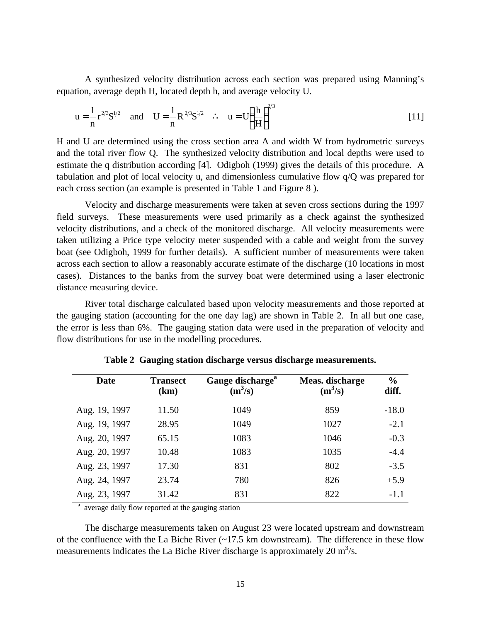A synthesized velocity distribution across each section was prepared using Manning's equation, average depth H, located depth h, and average velocity U.

$$
u = \frac{1}{n} r^{2/3} S^{1/2} \text{ and } U = \frac{1}{n} R^{2/3} S^{1/2} \therefore u = U \left(\frac{h}{H}\right)^{2/3}
$$
 [11]

H and U are determined using the cross section area A and width W from hydrometric surveys and the total river flow Q. The synthesized velocity distribution and local depths were used to estimate the q distribution according [4]. Odigboh (1999) gives the details of this procedure. A tabulation and plot of local velocity u, and dimensionless cumulative flow q/Q was prepared for each cross section (an example is presented in Table 1 and Figure 8 ).

Velocity and discharge measurements were taken at seven cross sections during the 1997 field surveys. These measurements were used primarily as a check against the synthesized velocity distributions, and a check of the monitored discharge. All velocity measurements were taken utilizing a Price type velocity meter suspended with a cable and weight from the survey boat (see Odigboh, 1999 for further details). A sufficient number of measurements were taken across each section to allow a reasonably accurate estimate of the discharge (10 locations in most cases). Distances to the banks from the survey boat were determined using a laser electronic distance measuring device.

River total discharge calculated based upon velocity measurements and those reported at the gauging station (accounting for the one day lag) are shown in Table 2. In all but one case, the error is less than 6%. The gauging station data were used in the preparation of velocity and flow distributions for use in the modelling procedures.

| Date          | <b>Transect</b><br>(km) | Gauge discharge <sup>a</sup><br>$(m^3/s)$ | Meas. discharge<br>$(m^3/s)$ | $\frac{0}{0}$<br>diff. |
|---------------|-------------------------|-------------------------------------------|------------------------------|------------------------|
| Aug. 19, 1997 | 11.50                   | 1049                                      | 859                          | $-18.0$                |
| Aug. 19, 1997 | 28.95                   | 1049                                      | 1027                         | $-2.1$                 |
| Aug. 20, 1997 | 65.15                   | 1083                                      | 1046                         | $-0.3$                 |
| Aug. 20, 1997 | 10.48                   | 1083                                      | 1035                         | $-4.4$                 |
| Aug. 23, 1997 | 17.30                   | 831                                       | 802                          | $-3.5$                 |
| Aug. 24, 1997 | 23.74                   | 780                                       | 826                          | $+5.9$                 |
| Aug. 23, 1997 | 31.42                   | 831                                       | 822                          | $-1.1$                 |

**Table 2 Gauging station discharge versus discharge measurements.**

<sup>a</sup> average daily flow reported at the gauging station

The discharge measurements taken on August 23 were located upstream and downstream of the confluence with the La Biche River (~17.5 km downstream). The difference in these flow measurements indicates the La Biche River discharge is approximately 20  $m^3/s$ .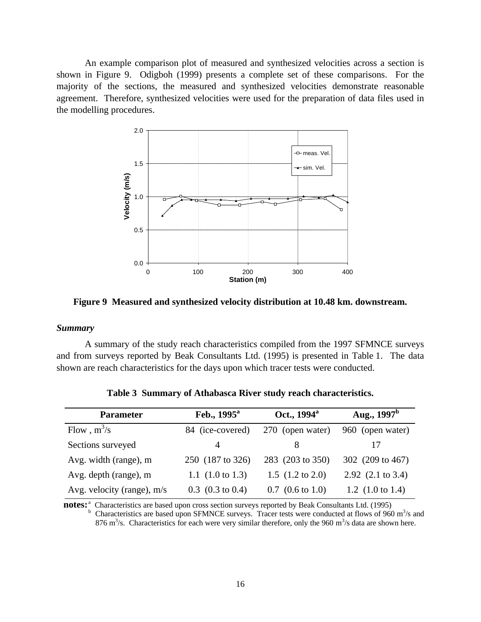An example comparison plot of measured and synthesized velocities across a section is shown in Figure 9. Odigboh (1999) presents a complete set of these comparisons. For the majority of the sections, the measured and synthesized velocities demonstrate reasonable agreement. Therefore, synthesized velocities were used for the preparation of data files used in the modelling procedures.



**Figure 9 Measured and synthesized velocity distribution at 10.48 km. downstream.**

#### *Summary*

A summary of the study reach characteristics compiled from the 1997 SFMNCE surveys and from surveys reported by Beak Consultants Ltd. (1995) is presented in Table 1. The data shown are reach characteristics for the days upon which tracer tests were conducted.

| <b>Parameter</b>           | Feb., $1995^{\circ}$          | Oct., 1994 <sup>a</sup>       | Aug., $1997^b$               |  |
|----------------------------|-------------------------------|-------------------------------|------------------------------|--|
| Flow, $m^3/s$              | 84 (ice-covered)              | 270 (open water)              | 960 (open water)             |  |
| Sections surveyed          | 4                             |                               |                              |  |
| Avg. width (range), m      | 250 (187 to 326)              | 283 (203 to 350)              | 302 (209 to 467)             |  |
| Avg. depth (range), m      | 1.1 $(1.0 \text{ to } 1.3)$   | 1.5 $(1.2 \text{ to } 2.0)$   | 2.92 $(2.1 \text{ to } 3.4)$ |  |
| Avg. velocity (range), m/s | $0.3$ $(0.3 \text{ to } 0.4)$ | $0.7$ $(0.6 \text{ to } 1.0)$ | 1.2 $(1.0 \text{ to } 1.4)$  |  |

**Table 3 Summary of Athabasca River study reach characteristics.**

notes:<sup>a</sup> Characteristics are based upon cross section surveys reported by Beak Consultants Ltd. (1995) b Characteristics are based upon SFMNCE surveys. Tracer tests were conducted at flows of 960  $m<sup>3</sup>/s$  and 876 m<sup>3</sup>/s. Characteristics for each were very similar therefore, only the 960 m<sup>3</sup>/s data are shown here.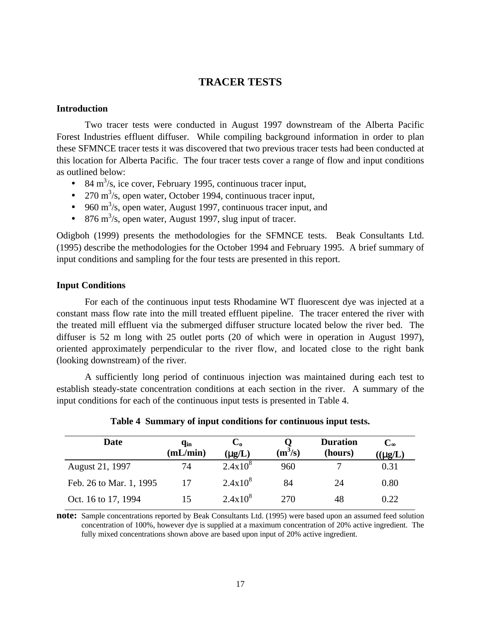## **TRACER TESTS**

#### **Introduction**

Two tracer tests were conducted in August 1997 downstream of the Alberta Pacific Forest Industries effluent diffuser. While compiling background information in order to plan these SFMNCE tracer tests it was discovered that two previous tracer tests had been conducted at this location for Alberta Pacific. The four tracer tests cover a range of flow and input conditions as outlined below:

- 84 m<sup>3</sup>/s, ice cover, February 1995, continuous tracer input,
- 270  $\text{m}^3$ /s, open water, October 1994, continuous tracer input,
- 960  $\text{m}^3$ /s, open water, August 1997, continuous tracer input, and
- 876 m<sup>3</sup>/s, open water, August 1997, slug input of tracer.

Odigboh (1999) presents the methodologies for the SFMNCE tests. Beak Consultants Ltd. (1995) describe the methodologies for the October 1994 and February 1995. A brief summary of input conditions and sampling for the four tests are presented in this report.

#### **Input Conditions**

For each of the continuous input tests Rhodamine WT fluorescent dye was injected at a constant mass flow rate into the mill treated effluent pipeline. The tracer entered the river with the treated mill effluent via the submerged diffuser structure located below the river bed. The diffuser is 52 m long with 25 outlet ports (20 of which were in operation in August 1997), oriented approximately perpendicular to the river flow, and located close to the right bank (looking downstream) of the river.

A sufficiently long period of continuous injection was maintained during each test to establish steady-state concentration conditions at each section in the river. A summary of the input conditions for each of the continuous input tests is presented in Table 4.

| Date                    | q <sub>in</sub><br>(mL/min) | $\mathbf{C_{0}}$<br>$(\mu g/L)$ | $(m^3/s)$ | <b>Duration</b><br>(hours) | $\rm{C}_{\infty}$<br>$((\mu g/L))$ |
|-------------------------|-----------------------------|---------------------------------|-----------|----------------------------|------------------------------------|
| August 21, 1997         | 74                          | $2.4x10^{8}$                    | 960       | ⇁                          | 0.31                               |
| Feb. 26 to Mar. 1, 1995 | 17                          | $2.4x10^{8}$                    | 84        | 24                         | 0.80                               |
| Oct. 16 to 17, 1994     | 15                          | $2.4x10^{8}$                    | 270       | 48                         | 0.22                               |

#### **Table 4 Summary of input conditions for continuous input tests.**

**note:** Sample concentrations reported by Beak Consultants Ltd. (1995) were based upon an assumed feed solution concentration of 100%, however dye is supplied at a maximum concentration of 20% active ingredient. The fully mixed concentrations shown above are based upon input of 20% active ingredient.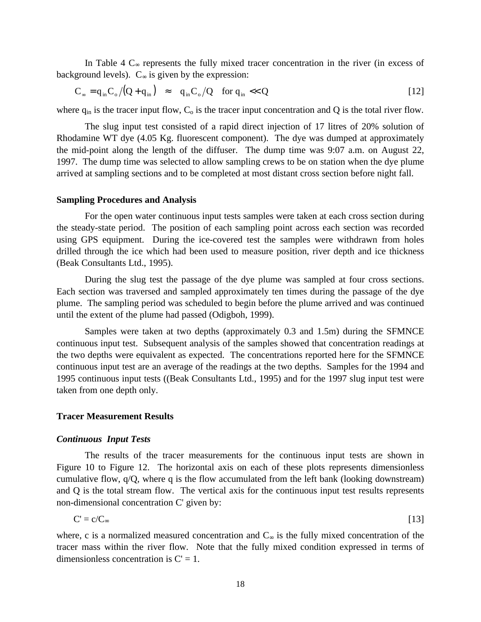In Table 4  $C<sub>∞</sub>$  represents the fully mixed tracer concentration in the river (in excess of background levels).  $C_{\infty}$  is given by the expression:

$$
C_{\infty} = q_{in} C_{\circ} / (Q + q_{in}) \approx q_{in} C_{\circ} / Q \quad \text{for } q_{in} \ll Q
$$

where  $q_{in}$  is the tracer input flow,  $C_0$  is the tracer input concentration and Q is the total river flow.

The slug input test consisted of a rapid direct injection of 17 litres of 20% solution of Rhodamine WT dye (4.05 Kg. fluorescent component). The dye was dumped at approximately the mid-point along the length of the diffuser. The dump time was 9:07 a.m. on August 22, 1997. The dump time was selected to allow sampling crews to be on station when the dye plume arrived at sampling sections and to be completed at most distant cross section before night fall.

#### **Sampling Procedures and Analysis**

For the open water continuous input tests samples were taken at each cross section during the steady-state period. The position of each sampling point across each section was recorded using GPS equipment. During the ice-covered test the samples were withdrawn from holes drilled through the ice which had been used to measure position, river depth and ice thickness (Beak Consultants Ltd., 1995).

During the slug test the passage of the dye plume was sampled at four cross sections. Each section was traversed and sampled approximately ten times during the passage of the dye plume. The sampling period was scheduled to begin before the plume arrived and was continued until the extent of the plume had passed (Odigboh, 1999).

Samples were taken at two depths (approximately 0.3 and 1.5m) during the SFMNCE continuous input test. Subsequent analysis of the samples showed that concentration readings at the two depths were equivalent as expected. The concentrations reported here for the SFMNCE continuous input test are an average of the readings at the two depths. Samples for the 1994 and 1995 continuous input tests ((Beak Consultants Ltd., 1995) and for the 1997 slug input test were taken from one depth only.

#### **Tracer Measurement Results**

#### *Continuous Input Tests*

The results of the tracer measurements for the continuous input tests are shown in Figure 10 to Figure 12. The horizontal axis on each of these plots represents dimensionless cumulative flow, q/Q, where q is the flow accumulated from the left bank (looking downstream) and Q is the total stream flow. The vertical axis for the continuous input test results represents non-dimensional concentration C' given by:

$$
C' = c/C_{\infty} \tag{13}
$$

where, c is a normalized measured concentration and  $C_{\infty}$  is the fully mixed concentration of the tracer mass within the river flow. Note that the fully mixed condition expressed in terms of dimensionless concentration is  $C' = 1$ .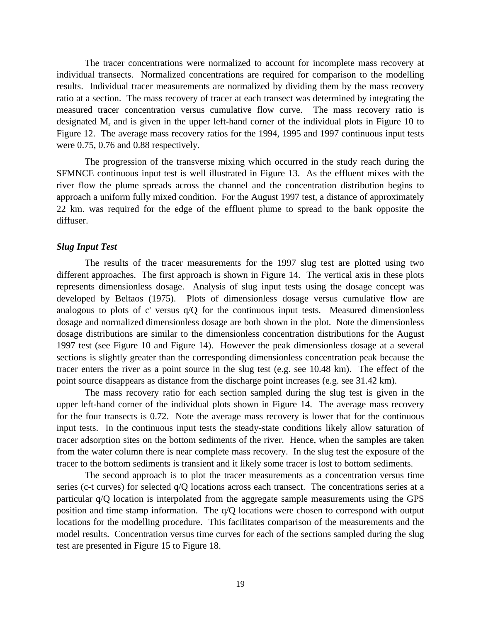The tracer concentrations were normalized to account for incomplete mass recovery at individual transects. Normalized concentrations are required for comparison to the modelling results. Individual tracer measurements are normalized by dividing them by the mass recovery ratio at a section. The mass recovery of tracer at each transect was determined by integrating the measured tracer concentration versus cumulative flow curve. The mass recovery ratio is designated  $M_r$  and is given in the upper left-hand corner of the individual plots in Figure 10 to Figure 12. The average mass recovery ratios for the 1994, 1995 and 1997 continuous input tests were 0.75, 0.76 and 0.88 respectively.

The progression of the transverse mixing which occurred in the study reach during the SFMNCE continuous input test is well illustrated in Figure 13. As the effluent mixes with the river flow the plume spreads across the channel and the concentration distribution begins to approach a uniform fully mixed condition. For the August 1997 test, a distance of approximately 22 km. was required for the edge of the effluent plume to spread to the bank opposite the diffuser.

#### *Slug Input Test*

The results of the tracer measurements for the 1997 slug test are plotted using two different approaches. The first approach is shown in Figure 14. The vertical axis in these plots represents dimensionless dosage. Analysis of slug input tests using the dosage concept was developed by Beltaos (1975). Plots of dimensionless dosage versus cumulative flow are analogous to plots of c' versus  $q/Q$  for the continuous input tests. Measured dimensionless dosage and normalized dimensionless dosage are both shown in the plot. Note the dimensionless dosage distributions are similar to the dimensionless concentration distributions for the August 1997 test (see Figure 10 and Figure 14). However the peak dimensionless dosage at a several sections is slightly greater than the corresponding dimensionless concentration peak because the tracer enters the river as a point source in the slug test (e.g. see 10.48 km). The effect of the point source disappears as distance from the discharge point increases (e.g. see 31.42 km).

The mass recovery ratio for each section sampled during the slug test is given in the upper left-hand corner of the individual plots shown in Figure 14. The average mass recovery for the four transects is 0.72. Note the average mass recovery is lower that for the continuous input tests. In the continuous input tests the steady-state conditions likely allow saturation of tracer adsorption sites on the bottom sediments of the river. Hence, when the samples are taken from the water column there is near complete mass recovery. In the slug test the exposure of the tracer to the bottom sediments is transient and it likely some tracer is lost to bottom sediments.

The second approach is to plot the tracer measurements as a concentration versus time series (c-t curves) for selected q/Q locations across each transect. The concentrations series at a particular q/Q location is interpolated from the aggregate sample measurements using the GPS position and time stamp information. The q/Q locations were chosen to correspond with output locations for the modelling procedure. This facilitates comparison of the measurements and the model results. Concentration versus time curves for each of the sections sampled during the slug test are presented in Figure 15 to Figure 18.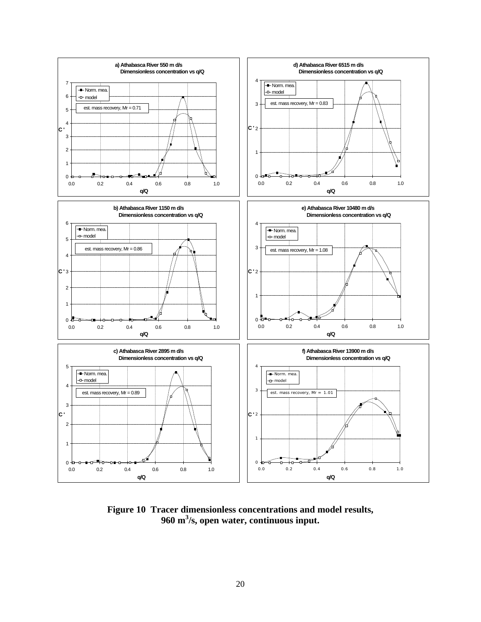

**Figure 10 Tracer dimensionless concentrations and model results, 960 m<sup>3</sup> /s, open water, continuous input.**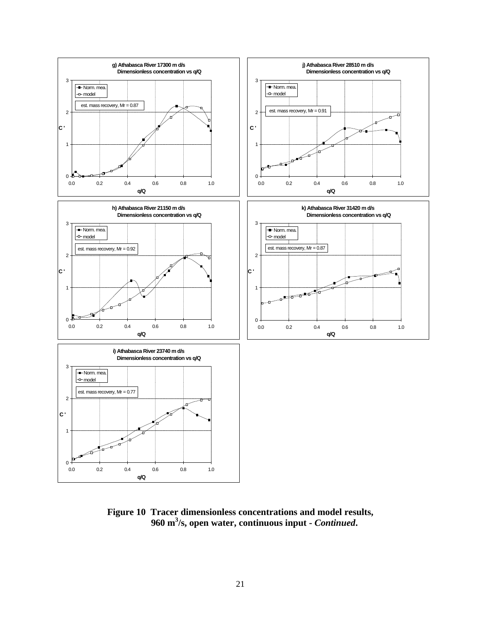

**Figure 10 Tracer dimensionless concentrations and model results, 960 m<sup>3</sup> /s, open water, continuous input -** *Continued***.**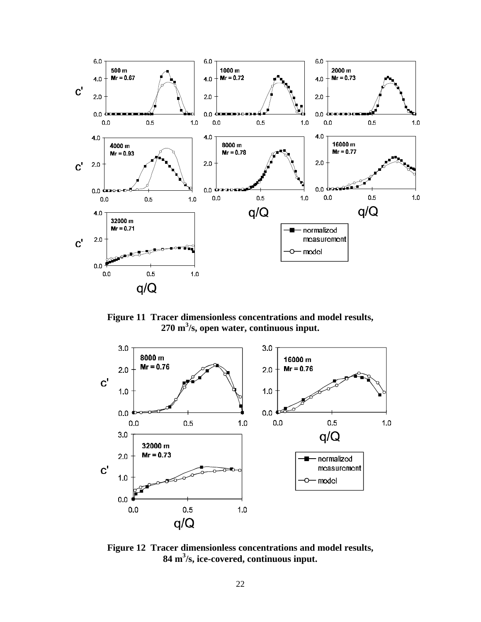

**Figure 11 Tracer dimensionless concentrations and model results, 270 m<sup>3</sup> /s, open water, continuous input.**



**Figure 12 Tracer dimensionless concentrations and model results, 84 m<sup>3</sup> /s, ice-covered, continuous input.**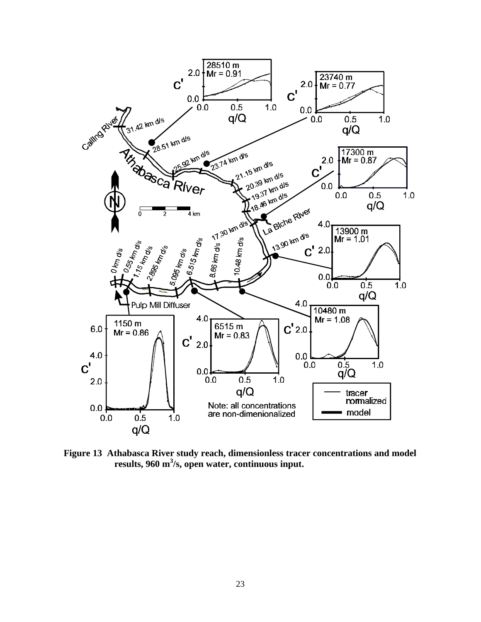

**Figure 13 Athabasca River study reach, dimensionless tracer concentrations and model results, 960 m<sup>3</sup> /s, open water, continuous input.**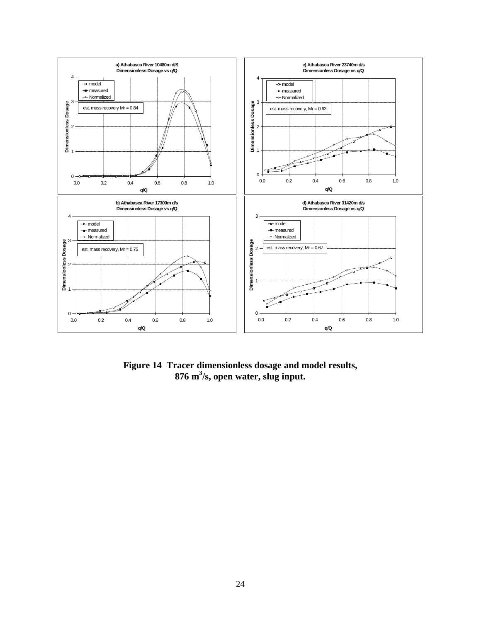

**Figure 14 Tracer dimensionless dosage and model results, 876 m<sup>3</sup> /s, open water, slug input.**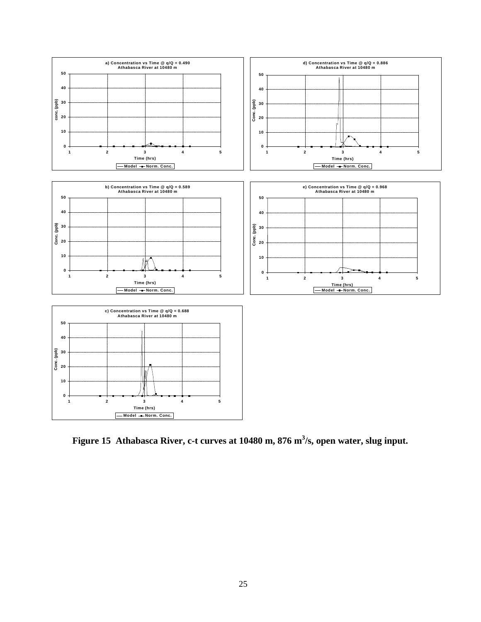

**Figure 15 Athabasca River, c-t curves at 10480 m, 876 m<sup>3</sup> /s, open water, slug input.**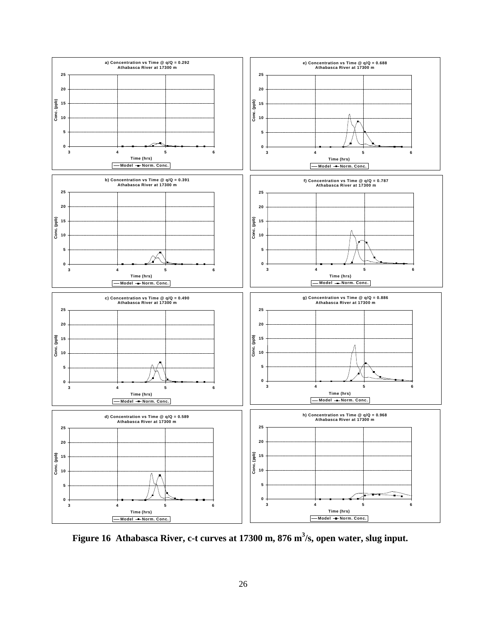

**Figure 16 Athabasca River, c-t curves at 17300 m, 876 m<sup>3</sup> /s, open water, slug input.**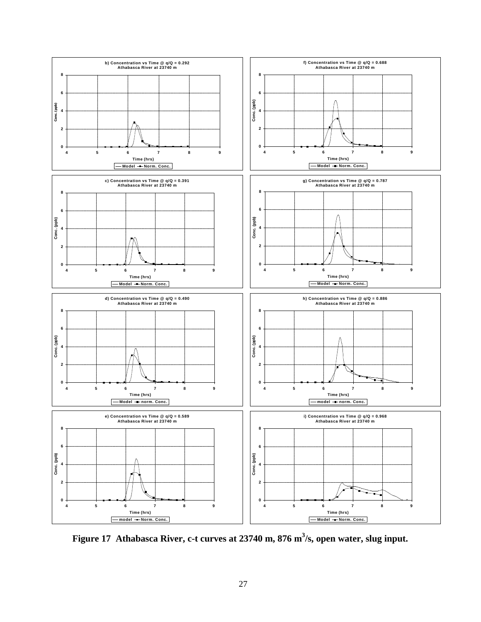

**Figure 17 Athabasca River, c-t curves at 23740 m, 876 m<sup>3</sup> /s, open water, slug input.**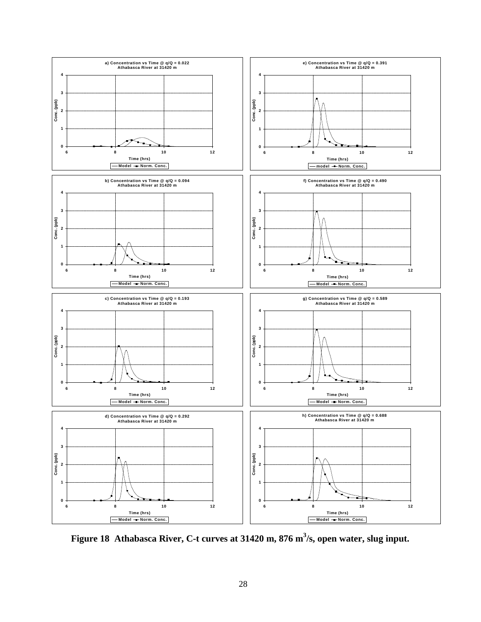

Figure 18 Athabasca River, C-t curves at 31420 m, 876 m<sup>3</sup>/s, open water, slug input.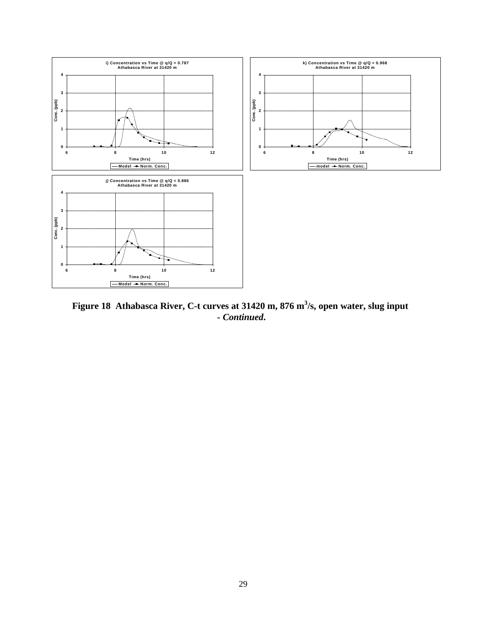

**Figure 18 Athabasca River, C-t curves at 31420 m, 876 m<sup>3</sup> /s, open water, slug input -** *Continued***.**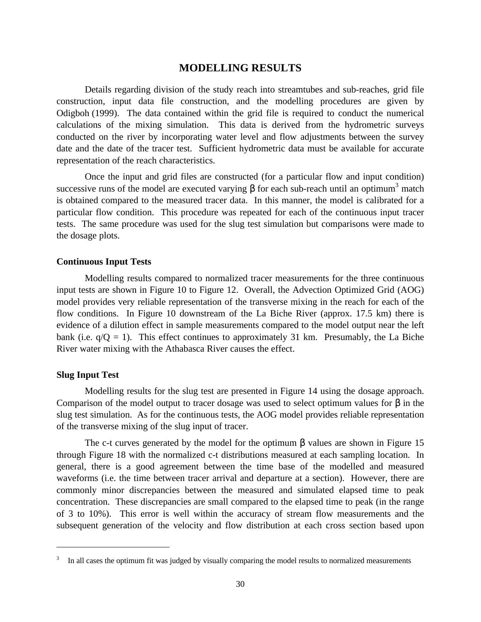#### **MODELLING RESULTS**

Details regarding division of the study reach into streamtubes and sub-reaches, grid file construction, input data file construction, and the modelling procedures are given by Odigboh (1999). The data contained within the grid file is required to conduct the numerical calculations of the mixing simulation. This data is derived from the hydrometric surveys conducted on the river by incorporating water level and flow adjustments between the survey date and the date of the tracer test. Sufficient hydrometric data must be available for accurate representation of the reach characteristics.

Once the input and grid files are constructed (for a particular flow and input condition) successive runs of the model are executed varying  $\beta$  for each sub-reach until an optimum<sup>3</sup> match is obtained compared to the measured tracer data. In this manner, the model is calibrated for a particular flow condition. This procedure was repeated for each of the continuous input tracer tests. The same procedure was used for the slug test simulation but comparisons were made to the dosage plots.

#### **Continuous Input Tests**

Modelling results compared to normalized tracer measurements for the three continuous input tests are shown in Figure 10 to Figure 12. Overall, the Advection Optimized Grid (AOG) model provides very reliable representation of the transverse mixing in the reach for each of the flow conditions. In Figure 10 downstream of the La Biche River (approx. 17.5 km) there is evidence of a dilution effect in sample measurements compared to the model output near the left bank (i.e.  $q/Q = 1$ ). This effect continues to approximately 31 km. Presumably, the La Biche River water mixing with the Athabasca River causes the effect.

#### **Slug Input Test**

<u>.</u>

Modelling results for the slug test are presented in Figure 14 using the dosage approach. Comparison of the model output to tracer dosage was used to select optimum values for  $\beta$  in the slug test simulation. As for the continuous tests, the AOG model provides reliable representation of the transverse mixing of the slug input of tracer.

The c-t curves generated by the model for the optimum  $\beta$  values are shown in Figure 15 through Figure 18 with the normalized c-t distributions measured at each sampling location. In general, there is a good agreement between the time base of the modelled and measured waveforms (i.e. the time between tracer arrival and departure at a section). However, there are commonly minor discrepancies between the measured and simulated elapsed time to peak concentration. These discrepancies are small compared to the elapsed time to peak (in the range of 3 to 10%). This error is well within the accuracy of stream flow measurements and the subsequent generation of the velocity and flow distribution at each cross section based upon

<sup>3</sup> In all cases the optimum fit was judged by visually comparing the model results to normalized measurements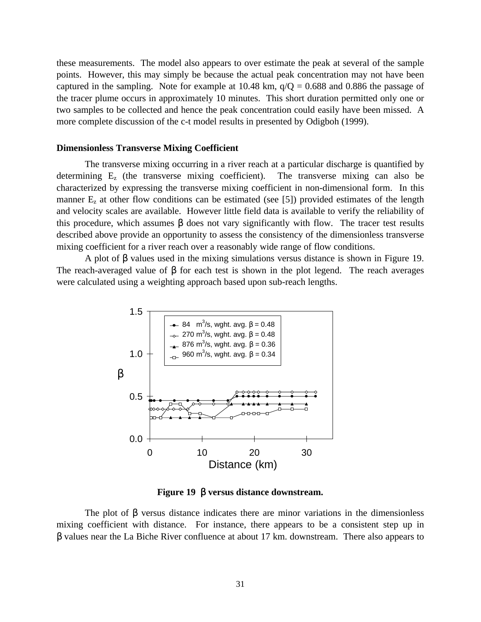these measurements. The model also appears to over estimate the peak at several of the sample points. However, this may simply be because the actual peak concentration may not have been captured in the sampling. Note for example at 10.48 km,  $q/Q = 0.688$  and 0.886 the passage of the tracer plume occurs in approximately 10 minutes. This short duration permitted only one or two samples to be collected and hence the peak concentration could easily have been missed. A more complete discussion of the c-t model results in presented by Odigboh (1999).

#### **Dimensionless Transverse Mixing Coefficient**

The transverse mixing occurring in a river reach at a particular discharge is quantified by determining  $E_z$  (the transverse mixing coefficient). The transverse mixing can also be characterized by expressing the transverse mixing coefficient in non-dimensional form. In this manner  $E<sub>z</sub>$  at other flow conditions can be estimated (see [5]) provided estimates of the length and velocity scales are available. However little field data is available to verify the reliability of this procedure, which assumes β does not vary significantly with flow. The tracer test results described above provide an opportunity to assess the consistency of the dimensionless transverse mixing coefficient for a river reach over a reasonably wide range of flow conditions.

A plot of  $\beta$  values used in the mixing simulations versus distance is shown in Figure 19. The reach-averaged value of  $\beta$  for each test is shown in the plot legend. The reach averages were calculated using a weighting approach based upon sub-reach lengths.



**Figure 19** β **versus distance downstream.**

The plot of  $\beta$  versus distance indicates there are minor variations in the dimensionless mixing coefficient with distance. For instance, there appears to be a consistent step up in β values near the La Biche River confluence at about 17 km. downstream. There also appears to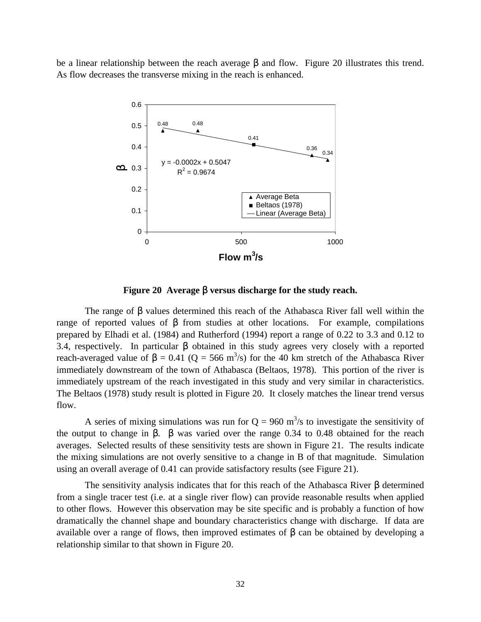be a linear relationship between the reach average β and flow. Figure 20 illustrates this trend. As flow decreases the transverse mixing in the reach is enhanced.



**Figure 20 Average** β **versus discharge for the study reach.**

The range of β values determined this reach of the Athabasca River fall well within the range of reported values of β from studies at other locations. For example, compilations prepared by Elhadi et al. (1984) and Rutherford (1994) report a range of 0.22 to 3.3 and 0.12 to 3.4, respectively. In particular β obtained in this study agrees very closely with a reported reach-averaged value of  $\beta = 0.41$  (Q = 566 m<sup>3</sup>/s) for the 40 km stretch of the Athabasca River immediately downstream of the town of Athabasca (Beltaos, 1978). This portion of the river is immediately upstream of the reach investigated in this study and very similar in characteristics. The Beltaos (1978) study result is plotted in Figure 20. It closely matches the linear trend versus flow.

A series of mixing simulations was run for  $Q = 960$  m<sup>3</sup>/s to investigate the sensitivity of the output to change in β. β was varied over the range 0.34 to 0.48 obtained for the reach averages. Selected results of these sensitivity tests are shown in Figure 21. The results indicate the mixing simulations are not overly sensitive to a change in B of that magnitude. Simulation using an overall average of 0.41 can provide satisfactory results (see Figure 21).

The sensitivity analysis indicates that for this reach of the Athabasca River β determined from a single tracer test (i.e. at a single river flow) can provide reasonable results when applied to other flows. However this observation may be site specific and is probably a function of how dramatically the channel shape and boundary characteristics change with discharge. If data are available over a range of flows, then improved estimates of  $\beta$  can be obtained by developing a relationship similar to that shown in Figure 20.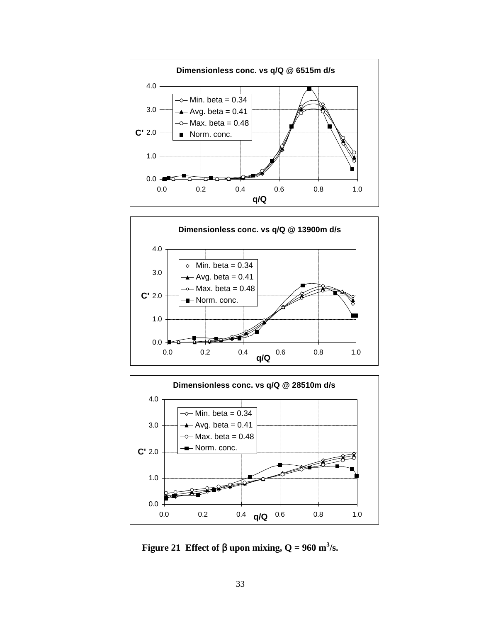





**Figure 21** Effect of  $\beta$  upon mixing,  $Q = 960$  m<sup>3</sup>/s.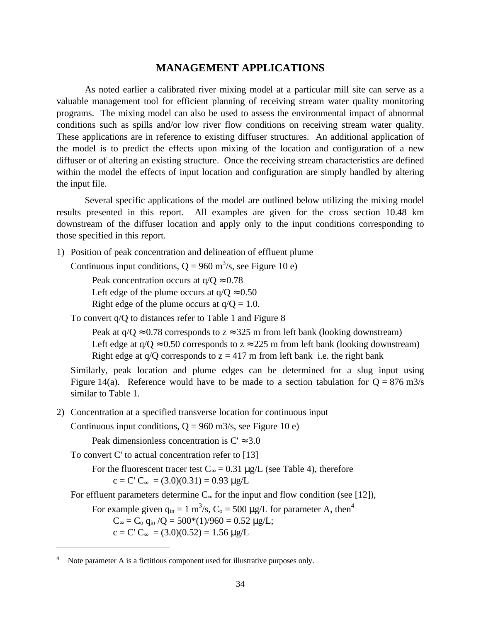#### **MANAGEMENT APPLICATIONS**

As noted earlier a calibrated river mixing model at a particular mill site can serve as a valuable management tool for efficient planning of receiving stream water quality monitoring programs. The mixing model can also be used to assess the environmental impact of abnormal conditions such as spills and/or low river flow conditions on receiving stream water quality. These applications are in reference to existing diffuser structures. An additional application of the model is to predict the effects upon mixing of the location and configuration of a new diffuser or of altering an existing structure. Once the receiving stream characteristics are defined within the model the effects of input location and configuration are simply handled by altering the input file.

Several specific applications of the model are outlined below utilizing the mixing model results presented in this report. All examples are given for the cross section 10.48 km downstream of the diffuser location and apply only to the input conditions corresponding to those specified in this report.

1) Position of peak concentration and delineation of effluent plume

Continuous input conditions,  $Q = 960$  m<sup>3</sup>/s, see Figure 10 e)

Peak concentration occurs at  $q/Q \approx 0.78$ 

Left edge of the plume occurs at  $q/Q \approx 0.50$ 

Right edge of the plume occurs at  $q/Q = 1.0$ .

To convert q/Q to distances refer to Table 1 and Figure 8

Peak at  $q/Q \approx 0.78$  corresponds to  $z \approx 325$  m from left bank (looking downstream) Left edge at  $q/Q \approx 0.50$  corresponds to  $z \approx 225$  m from left bank (looking downstream) Right edge at  $q/O$  corresponds to  $z = 417$  m from left bank i.e. the right bank

Similarly, peak location and plume edges can be determined for a slug input using Figure 14(a). Reference would have to be made to a section tabulation for  $Q = 876$  m3/s similar to Table 1.

2) Concentration at a specified transverse location for continuous input

Continuous input conditions,  $Q = 960$  m $3/s$ , see Figure 10 e)

Peak dimensionless concentration is  $C \approx 3.0$ 

To convert C' to actual concentration refer to [13]

<u>.</u>

For the fluorescent tracer test  $C_{\infty} = 0.31 \mu g/L$  (see Table 4), therefore  $c = C' C_{\infty} = (3.0)(0.31) = 0.93 \text{ µg/L}$ 

For effluent parameters determine  $C_{\infty}$  for the input and flow condition (see [12]),

For example given  $q_{in} = 1 \text{ m}^3/\text{s}$ ,  $C_0 = 500 \text{ µg/L}$  for parameter A, then<sup>4</sup>

 $C_{\infty} = C_0 q_{in} / Q = 500*(1)/960 = 0.52 \mu g/L;$ 

 $c = C' C_{\infty} = (3.0)(0.52) = 1.56 \text{ kg/L}$ 

Note parameter A is a fictitious component used for illustrative purposes only.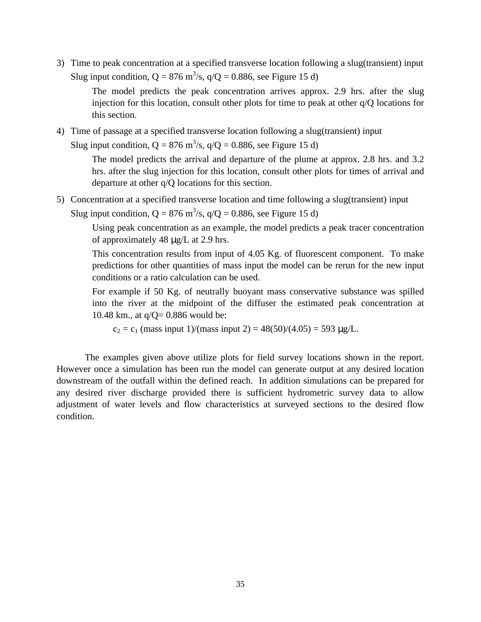3) Time to peak concentration at a specified transverse location following a slug(transient) input Slug input condition,  $Q = 876$  m<sup>3</sup>/s,  $q/Q = 0.886$ , see Figure 15 d)

The model predicts the peak concentration arrives approx. 2.9 hrs. after the slug injection for this location, consult other plots for time to peak at other q/Q locations for this section.

4) Time of passage at a specified transverse location following a slug(transient) input Slug input condition,  $Q = 876$  m<sup>3</sup>/s,  $q/Q = 0.886$ , see Figure 15 d)

> The model predicts the arrival and departure of the plume at approx. 2.8 hrs. and 3.2 hrs. after the slug injection for this location, consult other plots for times of arrival and departure at other q/Q locations for this section.

5) Concentration at a specified transverse location and time following a slug(transient) input Slug input condition,  $Q = 876$  m<sup>3</sup>/s,  $q/Q = 0.886$ , see Figure 15 d)

Using peak concentration as an example, the model predicts a peak tracer concentration of approximately 48 μg/L at 2.9 hrs.

This concentration results from input of 4.05 Kg. of fluorescent component. To make predictions for other quantities of mass input the model can be rerun for the new input conditions or a ratio calculation can be used.

For example if 50 Kg. of neutrally buoyant mass conservative substance was spilled into the river at the midpoint of the diffuser the estimated peak concentration at 10.48 km., at q/Q= 0.886 would be:

 $c_2 = c_1$  (mass input 1)/(mass input 2) = 48(50)/(4.05) = 593 μg/L.

The examples given above utilize plots for field survey locations shown in the report. However once a simulation has been run the model can generate output at any desired location downstream of the outfall within the defined reach. In addition simulations can be prepared for any desired river discharge provided there is sufficient hydrometric survey data to allow adjustment of water levels and flow characteristics at surveyed sections to the desired flow condition.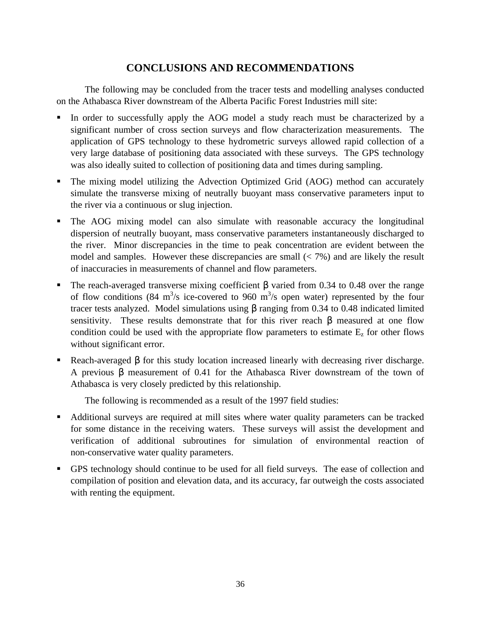# **CONCLUSIONS AND RECOMMENDATIONS**

The following may be concluded from the tracer tests and modelling analyses conducted on the Athabasca River downstream of the Alberta Pacific Forest Industries mill site:

- In order to successfully apply the AOG model a study reach must be characterized by a significant number of cross section surveys and flow characterization measurements. The application of GPS technology to these hydrometric surveys allowed rapid collection of a very large database of positioning data associated with these surveys. The GPS technology was also ideally suited to collection of positioning data and times during sampling.
- The mixing model utilizing the Advection Optimized Grid (AOG) method can accurately simulate the transverse mixing of neutrally buoyant mass conservative parameters input to the river via a continuous or slug injection.
- ß The AOG mixing model can also simulate with reasonable accuracy the longitudinal dispersion of neutrally buoyant, mass conservative parameters instantaneously discharged to the river. Minor discrepancies in the time to peak concentration are evident between the model and samples. However these discrepancies are small  $\left\langle \langle 7\% \rangle \right\rangle$  and are likely the result of inaccuracies in measurements of channel and flow parameters.
- The reach-averaged transverse mixing coefficient  $\beta$  varied from 0.34 to 0.48 over the range of flow conditions (84 m<sup>3</sup>/s ice-covered to 960 m<sup>3</sup>/s open water) represented by the four tracer tests analyzed. Model simulations using β ranging from 0.34 to 0.48 indicated limited sensitivity. These results demonstrate that for this river reach β measured at one flow condition could be used with the appropriate flow parameters to estimate  $E<sub>z</sub>$  for other flows without significant error.
- Reach-averaged β for this study location increased linearly with decreasing river discharge. A previous β measurement of 0.41 for the Athabasca River downstream of the town of Athabasca is very closely predicted by this relationship.

The following is recommended as a result of the 1997 field studies:

- ß Additional surveys are required at mill sites where water quality parameters can be tracked for some distance in the receiving waters. These surveys will assist the development and verification of additional subroutines for simulation of environmental reaction of non-conservative water quality parameters.
- ß GPS technology should continue to be used for all field surveys. The ease of collection and compilation of position and elevation data, and its accuracy, far outweigh the costs associated with renting the equipment.